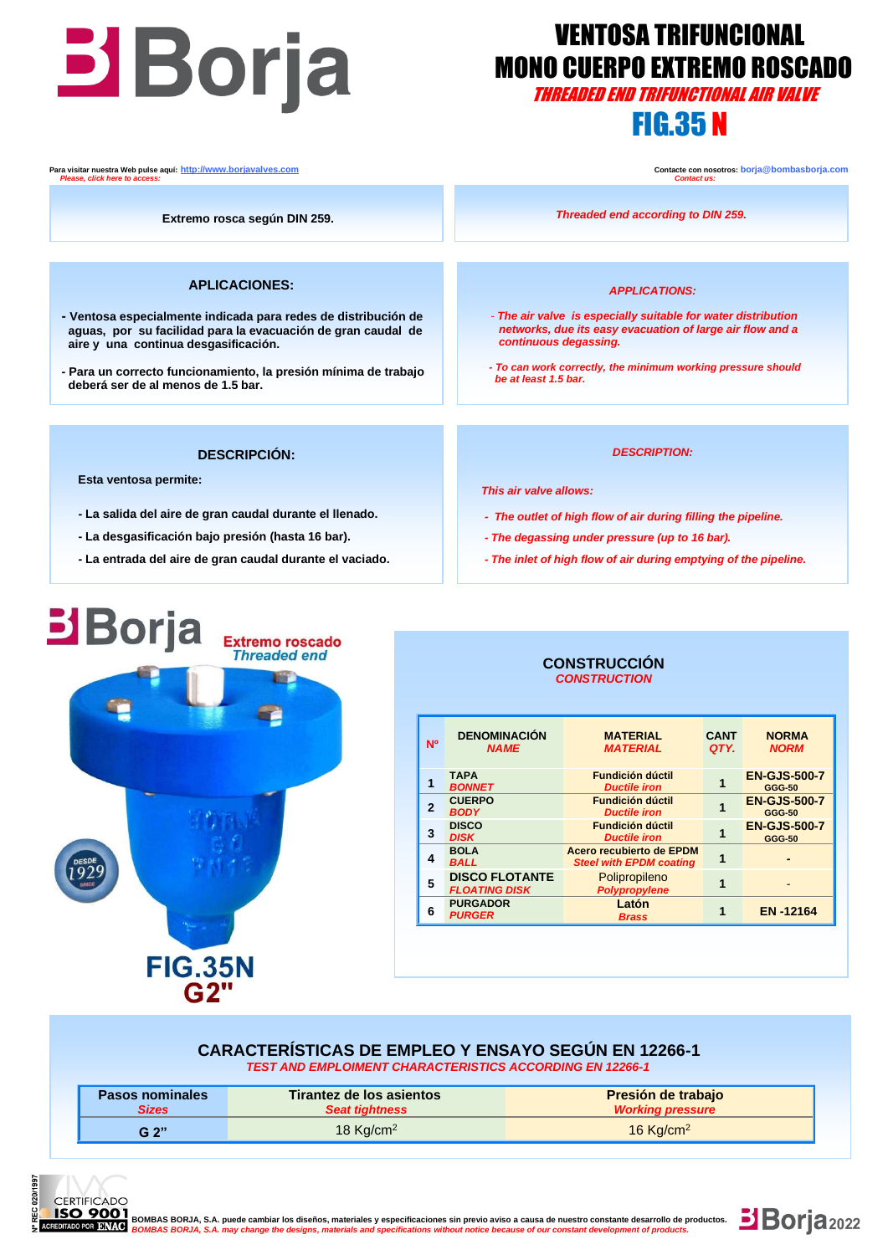# **THEADED EXTREMO ROSCA**<br>THREADED END TRIFUNCTIONAL AIR VALVE

## VENTOSA TRIFUNCIONAL MONO CUERPO EXTREMO ROSCADO

## FIG.35 N

**Para visitar nuestra Web pulse aquí:** <u>http://www.borjavalves.com</u> **Contacter con nosotros: borja** @bombasborja.com **Contacte con nosotros: borja** @bombasborja.com **Contacte is:** Contacte con nosotros: borja @bombasborja.  *Please, click here to access: Contact us:*

**Extremo rosca según DIN 259.**

#### **APLICACIONES:**

- **- Ventosa especialmente indicada para redes de distribución de aguas, por su facilidad para la evacuación de gran caudal de aire y una continua desgasificación.**
- **- Para un correcto funcionamiento, la presión mínima de trabajo deberá ser de al menos de 1.5 bar.**

*Threaded end according to DIN 259.*

#### *APPLICATIONS:*

- *- The air valve is especially suitable for water distribution networks, due its easy evacuation of large air flow and a continuous degassing.*
- *- To can work correctly, the minimum working pressure should be at least 1.5 bar.*

#### **DESCRIPCIÓN:**

 **Esta ventosa permite:**

- **- La salida del aire de gran caudal durante el llenado.**
- **- La desgasificación bajo presión (hasta 16 bar).**
- **- La entrada del aire de gran caudal durante el vaciado.**

#### *DESCRIPTION:*

 *This air valve allows:*

- *- The outlet of high flow of air during filling the pipeline.*
- *- The degassing under pressure (up to 16 bar).*
- *- The inlet of high flow of air during emptying of the pipeline.*



#### **CONSTRUCCIÓN**  *CONSTRUCTION*

| N <sup>o</sup> | <b>DENOMINACIÓN</b><br><b>NAME</b>            | <b>MATERIAL</b><br><b>MATERIAL</b>                         | <b>CANT</b><br>QTY. | <b>NORMA</b><br><b>NORM</b>          |
|----------------|-----------------------------------------------|------------------------------------------------------------|---------------------|--------------------------------------|
|                | <b>TAPA</b><br><b>BONNET</b>                  | <b>Fundición dúctil</b><br><b>Ductile iron</b>             |                     | <b>EN-GJS-500-7</b><br><b>GGG-50</b> |
| $\mathbf{2}$   | <b>CUERPO</b><br><b>BODY</b>                  | <b>Fundición dúctil</b><br><b>Ductile iron</b>             |                     | <b>EN-GJS-500-7</b><br><b>GGG-50</b> |
| 3              | <b>DISCO</b><br><b>DISK</b>                   | <b>Fundición dúctil</b><br><b>Ductile iron</b>             |                     | <b>EN-GJS-500-7</b><br><b>GGG-50</b> |
| 4              | <b>BOLA</b><br><b>BALL</b>                    | Acero recubierto de EPDM<br><b>Steel with EPDM coating</b> |                     |                                      |
| 5              | <b>DISCO FLOTANTE</b><br><b>FLOATING DISK</b> | Polipropileno<br>Polypropylene                             |                     |                                      |
| 6              | <b>PURGADOR</b><br><b>PURGER</b>              | Latón<br><b>Brass</b>                                      |                     | <b>EN-12164</b>                      |
|                |                                               |                                                            |                     |                                      |

#### **CARACTERÍSTICAS DE EMPLEO Y ENSAYO SEGÚN EN 12266-1** *TEST AND EMPLOIMENT CHARACTERISTICS ACCORDING EN 12266-1*

| <b>Pasos nominales</b> | Tirantez de los asientos | Presión de trabajo      |  |  |
|------------------------|--------------------------|-------------------------|--|--|
| Sizes                  | <b>Seat tightness</b>    | <b>Working pressure</b> |  |  |
| G, 2"                  | 18 $Kq/cm2$              |                         |  |  |



**<b>BSO 9001**<br>**BOMBAS BOMBAS BORJA, S.A. puede cambiar los diseños, materiales y especificaciones sin previo aviso a causa de nuestro constante desarrollo de productos.<br>ROMBO DO BOMBAS BORJA, S.A. may change the designs, mat**  *BOMBAS BORJA, S.A. may change the designs, materials and specifications without notice because of our constant development of products.*